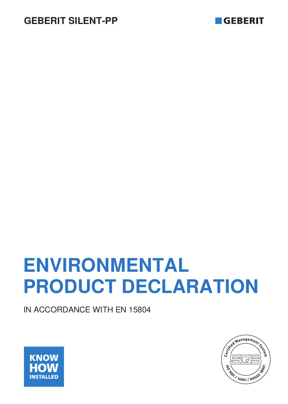



# **ENVIRONMENTAL PRODUCT DECLARATION**

IN ACCORDANCE WITH EN 15804



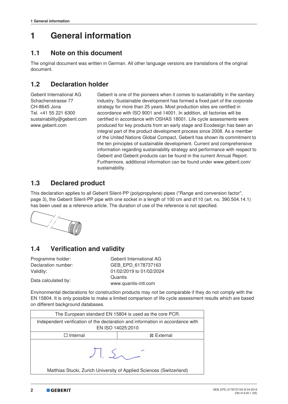## **1 General information**

#### **1.1 Note on this document**

The original document was written in German. All other language versions are translations of the original document.

## **1.2 Declaration holder**

Geberit International AG Schachenstrasse 77 CH-8645 Jona Tel. +41 55 221 6300 sustainability@geberit.com www.geberit.com

Geberit is one of the pioneers when it comes to sustainability in the sanitary industry. Sustainable development has formed a fixed part of the corporate strategy for more than 25 years. Most production sites are certified in accordance with ISO 9001 and 14001. In addition, all factories will be certified in accordance with OSHAS 18001. Life cycle assessments were produced for key products from an early stage and Ecodesign has been an integral part of the product development process since 2008. As a member of the United Nations Global Compact, Geberit has shown its commitment to the ten principles of sustainable development. Current and comprehensive information regarding sustainability strategy and performance with respect to Geberit and Geberit products can be found in the current Annual Report. Furthermore, additional information can be found under www.geberit.com/ sustainability.

## **1.3 Declared product**

This declaration applies to all Geberit Silent-PP (polypropylene) pipes ("Range and conversion factor", page 3), the Geberit Silent-PP pipe with one socket in a length of 100 cm and d110 (art. no. 390.504.14.1) has been used as a reference article. The duration of use of the reference is not specified.



## **1.4 Verification and validity**

| Programme holder:   | Geberit International AG                                                                                        |
|---------------------|-----------------------------------------------------------------------------------------------------------------|
| Declaration number: | GEB EPD 6178737163                                                                                              |
| Validity:           | 01/02/2019 to 01/02/2024                                                                                        |
| Data calculated by: | Quantis                                                                                                         |
|                     | the contract of the contract of the contract of the contract of the contract of the contract of the contract of |

Environmental declarations for construction products may not be comparable if they do not comply with the EN 15804. It is only possible to make a limited comparison of life cycle assessment results which are based on different background databases.

www.quantis-intl.com

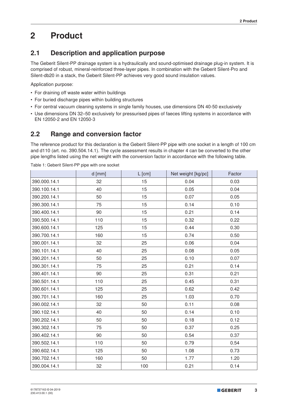## **2 Product**

## **2.1 Description and application purpose**

The Geberit Silent-PP drainage system is a hydraulically and sound-optimised drainage plug-in system. It is comprised of robust, mineral-reinforced three-layer pipes. In combination with the Geberit Silent-Pro and Silent-db20 in a stack, the Geberit Silent-PP achieves very good sound insulation values.

Application purpose:

- For draining off waste water within buildings
- For buried discharge pipes within building structures
- For central vacuum cleaning systems in single family houses, use dimensions DN 40-50 exclusively
- Use dimensions DN 32–50 exclusively for pressurised pipes of faeces lifting systems in accordance with EN 12050-2 and EN 12050-3

## **2.2 Range and conversion factor**

The reference product for this declaration is the Geberit Silent-PP pipe with one socket in a length of 100 cm and d110 (art. no. 390.504.14.1). The cycle assessment results in chapter 4 can be converted to the other pipe lengths listed using the net weight with the conversion factor in accordance with the following table.

|              | $d$ [mm] | $L$ [cm] | Net weight [kg/pc] | Factor |
|--------------|----------|----------|--------------------|--------|
| 390.000.14.1 | 32       | 15       | 0.04               | 0.03   |
| 390.100.14.1 | 40       | 15       | 0.05               | 0.04   |
| 390.200.14.1 | 50       | 15       | 0.07               | 0.05   |
| 390.300.14.1 | 75       | 15       | 0.14               | 0.10   |
| 390.400.14.1 | 90       | 15       | 0.21               | 0.14   |
| 390.500.14.1 | 110      | 15       | 0.32               | 0.22   |
| 390.600.14.1 | 125      | 15       | 0.44               | 0.30   |
| 390.700.14.1 | 160      | 15       | 0.74               | 0.50   |
| 390.001.14.1 | 32       | 25       | 0.06               | 0.04   |
| 390.101.14.1 | 40       | 25       | 0.08               | 0.05   |
| 390.201.14.1 | 50       | 25       | 0.10               | 0.07   |
| 390.301.14.1 | 75       | 25       | 0.21               | 0.14   |
| 390.401.14.1 | 90       | 25       | 0.31               | 0.21   |
| 390.501.14.1 | 110      | 25       | 0.45               | 0.31   |
| 390.601.14.1 | 125      | 25       | 0.62               | 0.42   |
| 390.701.14.1 | 160      | 25       | 1.03               | 0.70   |
| 390.002.14.1 | 32       | 50       | 0.11               | 0.08   |
| 390.102.14.1 | 40       | 50       | 0.14               | 0.10   |
| 390.202.14.1 | 50       | 50       | 0.18               | 0.12   |
| 390.302.14.1 | 75       | 50       | 0.37               | 0.25   |
| 390.402.14.1 | 90       | 50       | 0.54               | 0.37   |
| 390.502.14.1 | 110      | 50       | 0.79               | 0.54   |
| 390.602.14.1 | 125      | 50       | 1.08               | 0.73   |
| 390.702.14.1 | 160      | 50       | 1.77               | 1.20   |
| 390.004.14.1 | 32       | 100      | 0.21               | 0.14   |

Table 1: Geberit Silent-PP pipe with one socket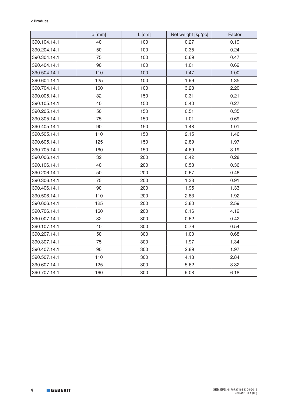|              | $d$ [mm] | $L$ [cm] | Net weight [kg/pc] | Factor |
|--------------|----------|----------|--------------------|--------|
| 390.104.14.1 | 40       | 100      | 0.27               | 0.19   |
| 390.204.14.1 | 50       | 100      | 0.35               | 0.24   |
| 390.304.14.1 | 75       | 100      | 0.69               | 0.47   |
| 390.404.14.1 | 90       | 100      | 1.01               | 0.69   |
| 390.504.14.1 | 110      | 100      | 1.47               | 1.00   |
| 390.604.14.1 | 125      | 100      | 1.99               | 1.35   |
| 390.704.14.1 | 160      | 100      | 3.23               | 2.20   |
| 390.005.14.1 | 32       | 150      | 0.31               | 0.21   |
| 390.105.14.1 | 40       | 150      | 0.40               | 0.27   |
| 390.205.14.1 | 50       | 150      | 0.51               | 0.35   |
| 390.305.14.1 | 75       | 150      | 1.01               | 0.69   |
| 390.405.14.1 | 90       | 150      | 1.48               | 1.01   |
| 390.505.14.1 | 110      | 150      | 2.15               | 1.46   |
| 390.605.14.1 | 125      | 150      | 2.89               | 1.97   |
| 390.705.14.1 | 160      | 150      | 4.69               | 3.19   |
| 390.006.14.1 | 32       | 200      | 0.42               | 0.28   |
| 390.106.14.1 | 40       | 200      | 0.53               | 0.36   |
| 390.206.14.1 | 50       | 200      | 0.67               | 0.46   |
| 390.306.14.1 | 75       | 200      | 1.33               | 0.91   |
| 390.406.14.1 | 90       | 200      | 1.95               | 1.33   |
| 390.506.14.1 | 110      | 200      | 2.83               | 1.92   |
| 390.606.14.1 | 125      | 200      | 3.80               | 2.59   |
| 390.706.14.1 | 160      | 200      | 6.16               | 4.19   |
| 390.007.14.1 | 32       | 300      | 0.62               | 0.42   |
| 390.107.14.1 | 40       | 300      | 0.79               | 0.54   |
| 390.207.14.1 | 50       | 300      | 1.00               | 0.68   |
| 390.307.14.1 | 75       | 300      | 1.97               | 1.34   |
| 390.407.14.1 | 90       | 300      | 2.89               | 1.97   |
| 390.507.14.1 | 110      | 300      | 4.18               | 2.84   |
| 390.607.14.1 | 125      | 300      | 5.62               | 3.82   |
| 390.707.14.1 | 160      | 300      | 9.08               | 6.18   |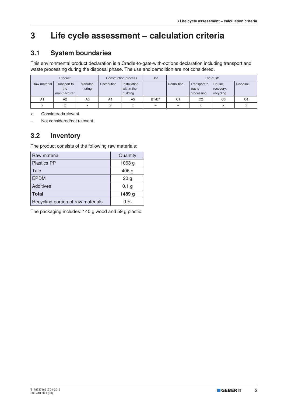## **3 Life cycle assessment – calculation criteria**

## **3.1 System boundaries**

This environmental product declaration is a Cradle-to-gate-with-options declaration including transport and waste processing during the disposal phase. The use and demolition are not considered.

| Product<br>Construction process |                                     |                    | Use                 | End-of-life                            |              |                |                                     |                                  |                |
|---------------------------------|-------------------------------------|--------------------|---------------------|----------------------------------------|--------------|----------------|-------------------------------------|----------------------------------|----------------|
| Raw material                    | Transport to<br>the<br>manufacturer | Manufac-<br>turing | <b>Distribution</b> | Installation<br>within the<br>building |              | Demolition     | Transport to<br>waste<br>processing | Reuse,<br>recovery,<br>recycling | Disposal       |
| A1                              | A <sub>2</sub>                      | A3                 | A4                  | A <sub>5</sub>                         | <b>B1-B7</b> | C <sub>1</sub> | C <sub>2</sub>                      | C <sub>3</sub>                   | C <sub>4</sub> |
| $\checkmark$                    | A                                   | ⋏                  | X                   |                                        | -            | -              | X                                   | $\checkmark$                     |                |

x Considered/relevant

– Not considered/not relevant

#### **3.2 Inventory**

The product consists of the following raw materials:

| Raw material                       | Quantity          |
|------------------------------------|-------------------|
| <b>Plastics PP</b>                 | 1063 <sub>g</sub> |
| Talc                               | 406 <sub>g</sub>  |
| <b>EPDM</b>                        | 20 <sub>g</sub>   |
| <b>Additives</b>                   | 0.1 <sub>g</sub>  |
| <b>Total</b>                       | 1489 g            |
| Recycling portion of raw materials | $0\%$             |

The packaging includes: 140 g wood and 59 g plastic.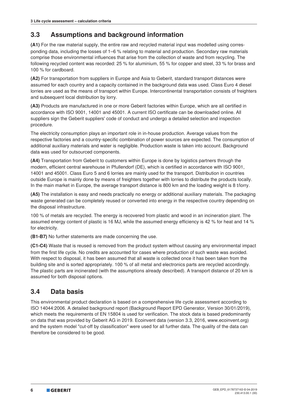## **3.3 Assumptions and background information**

**(A1)** For the raw material supply, the entire raw and recycled material input was modelled using corresponding data, including the losses of 1–6 % relating to material and production. Secondary raw materials comprise those environmental influences that arise from the collection of waste and from recycling. The following recycled content was recorded: 25 % for aluminium, 55 % for copper and steel, 33 % for brass and 100 % for cardboard.

**(A2)** For transportation from suppliers in Europe and Asia to Geberit, standard transport distances were assumed for each country and a capacity contained in the background data was used. Class Euro 4 diesel lorries are used as the means of transport within Europe. Intercontinental transportation consists of freighters and subsequent local distribution by lorry.

**(A3)** Products are manufactured in one or more Geberit factories within Europe, which are all certified in accordance with ISO 9001, 14001 and 45001. A current ISO certificate can be downloaded online. All suppliers sign the Geberit suppliers' code of conduct and undergo a detailed selection and inspection procedure.

The electricity consumption plays an important role in in-house production. Average values from the respective factories and a country-specific combination of power sources are expected. The consumption of additional auxiliary materials and water is negligible. Production waste is taken into account. Background data was used for outsourced components.

**(A4)** Transportation from Geberit to customers within Europe is done by logistics partners through the modern, efficient central warehouse in Pfullendorf (DE), which is certified in accordance with ISO 9001, 14001 and 45001. Class Euro 5 and 6 lorries are mainly used for the transport. Distribution in countries outside Europe is mainly done by means of freighters together with lorries to distribute the products locally. In the main market in Europe, the average transport distance is 800 km and the loading weight is 8 t/lorry.

**(A5)** The installation is easy and needs practically no energy or additional auxiliary materials. The packaging waste generated can be completely reused or converted into energy in the respective country depending on the disposal infrastructure.

100 % of metals are recycled. The energy is recovered from plastic and wood in an incineration plant. The assumed energy content of plastic is 16 MJ, while the assumed energy efficiency is 42 % for heat and 14 % for electricity.

**(B1-B7)** No further statements are made concerning the use.

**(C1-C4)** Waste that is reused is removed from the product system without causing any environmental impact from the first life cycle. No credits are accounted for cases where production of such waste was avoided. With respect to disposal, it has been assumed that all waste is collected once it has been taken from the building site and is sorted appropriately. 100 % of all metal and electronics parts are recycled accordingly. The plastic parts are incinerated (with the assumptions already described). A transport distance of 20 km is assumed for both disposal options.

## **3.4 Data basis**

This environmental product declaration is based on a comprehensive life cycle assessment according to ISO 14044:2006. A detailed background report (Background Report EPD Generator, Version 30/01/2019), which meets the requirements of EN 15804 is used for verification. The stock data is based predominantly on data that was provided by Geberit AG in 2019. Ecoinvent data (version 3.3, 2016, www.ecoinvent.org) and the system model "cut-off by classification" were used for all further data. The quality of the data can therefore be considered to be good.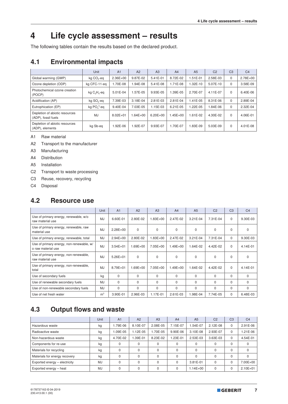## **4 Life cycle assessment – results**

The following tables contain the results based on the declared product.

#### **4.1 Environmental impacts**

|                                                       | Unit                   | A <sub>1</sub> | A2           | A <sub>3</sub> | A <sub>4</sub> | A <sub>5</sub> | C <sub>2</sub> | C <sub>3</sub> | C <sub>4</sub> |
|-------------------------------------------------------|------------------------|----------------|--------------|----------------|----------------|----------------|----------------|----------------|----------------|
| Global warming (GWP)                                  | kg CO <sub>2</sub> -eq | $2.36E + 00$   | 9.87E-02     | 5.41E-01       | 8.72E-02       | 1.51E-01       | 2.58E-03       | 0              | $2.78E + 00$   |
| Ozone depletion (ODP)                                 | kg CFC-11-eq           | 1.70E-08       | 1.94E-08     | 5.41E-08       | 1.71E-08       | 1.32E-10       | 5.07E-10       | $\Omega$       | 3.58E-09       |
| Photochemical ozone creation<br>(POCP)                | kg $C_2H_4$ -eq        | $5.01E - 04$   | $.57E - 05$  | 9.93E-05       | .39E-05        | 2.70E-07       | 4.11E-07       | $\Omega$       | 6.40E-06       |
| Acidification (AP)                                    | kg SO <sub>2</sub> -eq | 7.39E-03       | 3.18E-04     | 2.81E-03       | 2.81E-04       | 1.41E-05       | 8.31E-06       | $\Omega$       | 2.89E-04       |
| Eutrophication (EP)                                   | kg $PO43$ -eq          | 9.40E-04       | 7.03E-05     | 1.15E-03       | 6.21E-05       | 1.22E-05       | 1.84E-06       | $\mathbf 0$    | 2.32E-04       |
| Depletion of abiotic resources<br>(ADP), fossil fuels | MJ                     | $8.02E + 01$   | $1.64E + 00$ | $6.20E + 00$   | $.45E + 00$    | 1.61E-02       | 4.30E-02       | $\Omega$       | 4.06E-01       |
| Depletion of abiotic resources<br>(ADP), elements     | kg Sb-eg               | 1.92E-06       | 1.92E-07     | 9.93E-07       | 1.70E-07       | 1.83E-09       | 5.03E-09       | $\Omega$       | 4.01E-08       |

A1 Raw material

A2 Transport to the manufacturer

A3 Manufacturing

A4 Distribution

A5 Installation

C2 Transport to waste processing

C3 Reuse, recovery, recycling

C4 Disposal

#### **4.2 Resource use**

|                                                                | Unit           | A1           | A2           | A3           | A <sub>4</sub> | A <sub>5</sub> | C <sub>2</sub> | C <sub>3</sub> | C <sub>4</sub> |
|----------------------------------------------------------------|----------------|--------------|--------------|--------------|----------------|----------------|----------------|----------------|----------------|
| Use of primary energy, renewable, w/o<br>raw material use      | <b>MJ</b>      | 6.60E-01     | 2.80E-02     | $1.83E + 00$ | 2.47E-02       | $3.21E-04$     | 7.31E-04       | $\Omega$       | 9.30E-03       |
| Use of primary energy, renewable, raw<br>material use          | MJ             | $2.28E + 00$ | $\Omega$     | $\Omega$     | 0              | $\mathbf 0$    | $\Omega$       | $\Omega$       | 0              |
| Use of primary energy, renewable, total                        | MJ             | $2.94E + 00$ | 2.80E-02     | 1.83E+00     | 2.47E-02       | 3.21E-04       | 7.31E-04       | $\mathbf 0$    | 9.30E-03       |
| Use of primary energy, non-renewable, w/<br>o raw material use | MJ             | $3.54E + 01$ | $1.69E + 00$ | 7.05E+00     | 1.49E+00       | 1.64E-02       | 4.42E-02       | $\Omega$       | 4.14E-01       |
| Use of primary energy, non-renewable,<br>raw material use      | <b>MJ</b>      | $5.26E + 01$ | $\Omega$     | $\Omega$     | 0              | $\mathbf 0$    | $\Omega$       | $\Omega$       | $\mathbf 0$    |
| Use of primary energy, non-renewable,<br>total                 | <b>MJ</b>      | 8.79E+01     | $1.69E + 00$ | $7.05E + 00$ | $1.49E + 00$   | 1.64E-02       | 4.42E-02       | $\Omega$       | 4.14E-01       |
| Use of secondary fuels                                         | kg             | $\Omega$     | $\Omega$     | $\Omega$     | $\Omega$       | $\Omega$       | $\Omega$       | $\Omega$       | $\Omega$       |
| Use of renewable secondary fuels                               | <b>MJ</b>      | $\Omega$     | $\Omega$     | $\Omega$     | $\Omega$       | $\Omega$       | $\Omega$       | $\Omega$       | $\Omega$       |
| Use of non-renewable secondary fuels                           | <b>MJ</b>      | $\Omega$     | $\Omega$     | $\Omega$     | $\Omega$       | $\Omega$       | $\Omega$       | $\Omega$       | $\mathbf 0$    |
| Use of net fresh water                                         | m <sup>3</sup> | 3.90E-01     | 2.96E-03     | 1.17E-01     | 2.61E-03       | 1.98E-04       | 7.74E-05       | $\Omega$       | 6.48E-03       |

## **4.3 Output flows and waste**

|                               | Unit      | A <sub>1</sub> | A2       | A <sub>3</sub> | A <sub>4</sub> | A <sub>5</sub> | C <sub>2</sub> | C <sub>3</sub> | C <sub>4</sub> |
|-------------------------------|-----------|----------------|----------|----------------|----------------|----------------|----------------|----------------|----------------|
| Hazardous waste               | kg        | .79E-06        | 8.10E-07 | 2.08E-05       | 7.15E-07       | 1.54E-07       | 2.12E-08       | $\Omega$       | 2.91E-06       |
| Radioactive waste             | kg        | $.09E - 05$    | 1.12E-05 | .70E-05        | 9.90E-06       | 3.10E-08       | 2.93E-07       | $\Omega$       | $.21E-06$      |
| Non-hazardous waste           | kg        | 4.70E-02       | 1.39E-01 | 8.23E-02       | .23E-01        | 2.53E-03       | 3.63E-03       | $\Omega$       | 4.54E-01       |
| Components for re-use         | kg        |                | 0        | 0              | 0              | 0              |                | $\Omega$       | 0              |
| Materials for recycling       | kg        |                | $\Omega$ | 0              | $\Omega$       | $\Omega$       |                | $\Omega$       | 0              |
| Materials for energy recovery | kg        |                | $\Omega$ | 0              | $\Omega$       | $\Omega$       |                | $\Omega$       | <sup>0</sup>   |
| Exported energy - electricity | <b>MJ</b> |                | $\Omega$ | $\Omega$       | $\Omega$       | 3.81E-01       |                | $\Omega$       | 7.00E+00       |
| Exported energy - heat        | <b>MJ</b> |                | $\Omega$ | $\Omega$       | $\Omega$       | $1.14E + 00$   | 0              | $\Omega$       | $2.10E + 01$   |